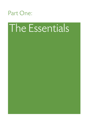

# The Essentials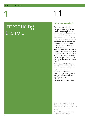## Introducing the role

## 1 1.1

## What is trusteeship<sup>1</sup>?

The concept of trusteeship has evolved over many centuries and broadly means that a donor gives or settles property on the trustees for the benefit of a third party.

This basic concept is still valid today. Charity trustees are people who are entrusted to look after money (or other resources such as land or property) given to a charity by a person or group of people. As a charity trustee, you must ensure that these resources are used effectively to achieve the particular purpose for which they were given (e.g. money donated by the public to cure heart disease should be spent on this area of work).

Trustees act within charities that generally have a formal structure, a set of rules and often delegate many day-to-day tasks to staff or volunteers. This structure will vary depending on your charity, and will affect your responsibilities and eligibility as a trustee.

This relationship works as follows:

<sup>1</sup> In the Good Trustee Guide, the term trustee refers to a charity trustee – a member of the governing body of a charity that takes formal responsibility for the charity.

2The Good Trustee Guide is aimed at trustees of registered charities.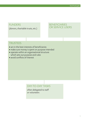## FUNDERS

(donors, charitable trusts, etc.)

## **BENEFICIARIES** or service users

## **TRUSTEES**

- act in the best interests of beneficiaries
- make sure money is spent on purpose intended
- operate within an organisational structure which sets out purpose and rules
- avoid conflicts of interest

## Day-to-day tasks

often delegated to staff or volunteers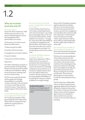## Who are trustees (and who aren't)?

#### Who are trustees?

Section 97 of the Charities Act 1993 defines charity trustees as: 'the persons having the general control and management of the administration of a charity'.

(Visit section 2.2 to find out more about charitable status.)

Trustees may also be called:

- members of the committee
- management committee members
- council members
- executive committee members
- governors.

No matter what title you are given, if you are a member of the governing body of a charity and you are entitled to take part in the decision-making process and vote at meetings, then you are a charity trustee.

NCVO recommends that charities call the people with the legal responsibility for trusteeship 'trustees' and refer to the committee or council on which they sit as the 'board of trustees'. These titles are used throughout The Good Trustee Guide.

#### In a charitable company, are trustees and company directors the same?

Yes. Trustees are members of the governing body of the charity. If the charity is also a company then they will also be company directors (see section 2.2).

#### Can I be a trustee even if another group in my organisation is known as 'the trustees'?

In some charities, those known as 'the trustees', and perhaps listed as such in the annual report, are actually patrons (see page 51) (or, in the case of unincorporated charities, merely hold the trust's property – see page 97). Those who take responsibility for controlling the management and administration of the charity may be known by some other term, such as 'the management committee'. It is the latter group who are the trustees in law.

#### Can staff of charitable companies be 'shadow' directors?

Under the Companies Act 1985, a shadow director is someone in accordance with whose directions the directors of a company (in this instance the trustees of a charitable company) are accustomed to act. If someone is a shadow director, then he or she might be held to be a trustee for certain purposes, sharing the responsibilities and liabilities of trusteeship (for instance, in relation to liability for wrongful trading).

#### Further Information:

Guidance on the legal status of Charity Chief Executives (acevo, 2006)

Senior staff of charitable companies might be deemed to be shadow directors in circumstances where they dominate a passive board of trustees, e.g. where the management not only advises the trustees but tells them what to do. Trustees should ensure that they do not simply 'rubber stamp' decisions made by senior staff, but make independent decisions, albeit with the advice of senior staff.

#### Am I a trustee if I am a member of the committee of a local branch?

Some national charities have groups or branches with local committees.

If the branch is constitutionally part of the national charity, then the members of the local committee are not trustees. The trustees are the members of the national governing body, and it is they who ultimately bear responsibility for the effective governance and conduct of the charity, including the work of the local branches. Some charities allocate places on their board of trustees for representatives of local groups.

If each local group is independent, with its own governing document, separately registered as charities but affiliated to a national charity, then the members of the local committees will be trustees of that local group. Age Concern is an example of a charity with this structure (see section 2.4 for more information on branches).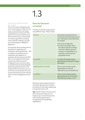#### Can a user of a charity's services be a trustee?

Yes. In most cases nothing prevents users from acting as trustees. Service users, or beneficiaries, can bring a vital perspective to the work of the board. Service user involvement can demonstrate that your charity takes an inclusive approach to involving users in decision making. It can give your charity greater credibility or legitimacy.

On the other hand, involving users at board level, if unplanned, can sometimes risk being tokenistic – that is, simplistic assumptions can be made that a user speaks for or represents all users (see section19.4). Also, some charities find that there may be more effective ways of bringing the voice of users as well as or instead of board membership, like advisory groups (see section 21.9). Finally, conflicts of interest can occur from time to time between the user's trustee role and service user role and these must be managed (see section 3.6).

### How do I become a trustee?

Trustees are elected or appointed in many different ways. These include:

| <b>Election</b>               | Individuals may be elected at an<br>Annual General Meeting and/or by<br>post. Individuals may be elected by,<br>for example:                                                                                                  |
|-------------------------------|-------------------------------------------------------------------------------------------------------------------------------------------------------------------------------------------------------------------------------|
|                               | $\bullet$ the entire membership<br>· an 'electoral college' where<br>the right to appoint trustee(s)<br>rests with a specific group of<br>members or stakeholders, e.g.<br>volunteers, interest groups,<br>geographical areas |
| Co-option                     | A number of trustees may be<br>appointed by the board of trustees<br>themselves                                                                                                                                               |
| <b>Appointed from outside</b> | One or more trustees may be<br>appointed by an external<br>organisation, e.g. a local authority                                                                                                                               |
| <b>Ex-Officio</b>             | One or more trustees may be<br>appointed by virtue of the office<br>they hold, e.g. a mayor or vicar                                                                                                                          |

Check your governing document to see what it says about your charity's procedures for electing or appointing trustees (see section 2.3).

Tip: Visit Part Three to find out more about the practical ways you can improve your recruitment practices and more about governance arrangements for membership organisations.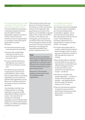#### If a trustee is appointed by an outside organisation, do they have the same responsibilities as other trustees?

Yes. Some charities have a provision in their governing document that gives the right for another organisation to appoint a trustee or trustees. These trustees are sometimes known as representative or nominative trustees and may be appointed for a number of reasons:

- to ensure that vacancies on the trustee board can be easily filled
- to ensure that outside bodies which have an interest in the work of the charity can have an association with it
- to ensure that the charity has a well-balanced cross-section of either the community or service users

No matter how you are elected or appointed you have the same responsibilities as other trustees. If you are appointed by a nominating organisation, you are not there to represent that organisation; you are there to act in the best interests of the charity to which you have been appointed.

You should also note that, if you are appointed by a nominating organisation, you are personally responsible to fulfill your duty as a trustee – this means that, for example, the nominating organisation cannot send alternative people if you cannot attend a board meeting, nor will the responsibility as a trustee rest with them.

There may be occasions when your duty to act in the best interests of the charity is in conflict with the best interests of the organisation that appointed you as a trustee. If this happens, you should follow an agreed policy on how to deal with conflicts of interest. In the absence of an existing policy, you should remove yourself from discussion of the item concerned and your absence should be minuted. This may not, however, absolve you from being jointly responsible and liable for any decision made (see section 3.7).

#### Note:

there are certain circumstances when the governing document of a charity allows an organisation to be appointed as a 'corporate trustee'. However, this is a specific situation and will be clearly set out in your governing document.

See section 21.8 for further guidance on the role of trustee nominated by outside organisations.

#### Can individuals attend a board meeting but not be a trustee?

Yes, it is quite common for individuals who are not trustees to attend all or part of board meetings, either occasionally or regularly – but it is very important to be clear about their role as distinct from the role of a trustee. These individuals are sometimes called observers or representatives or may be members of staff – for example:

- In charities that employ staff, it is usual for a chief executive to attend board meetings to report on day to day issues. Sometimes a member of staff may take the minutes of a meeting
- Some charities allow an individual to be elected by service users as a 'representative', to attend all or part of board meetings but not as a trustee (note that it is quite common for users also to act as trustees – see above)
- Sometimes, a member of an outside organisation – an officer or member of a local authority, for example – may regularly attend a board meeting in an advisory capacity, not as a trustee
- A person with particular expertise or experience may sometimes attend board meetings to provide advice, either on a one off or regular basis.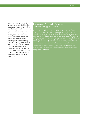There can sometimes be confusion about whether individuals like these are trustees or not – for example in one charity a local authority member may be a trustee, but not in another. If individuals are attending board meetings but not as a trustee it should be made explicit that the individuals are not trustees and do not take part in decision-making, otherwise they may be found to be liable for decisions taken. You can make this clear in the meeting minutes (for example, by listing non trustees as 'in attendance', separate from the list of trustees present) or via a provision in the governing document.

### Case study - Whitstable Umbrella Community Support Centre

officer and caretaker) supported by many volunteers. The trustees are the local authority attends board meetings as an observer, and this is made users but not a trustee, also attends part of every meeting to discuss user issues. Again, their role as 'in attendance' is made clear in the minutes.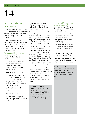## Who can and can't be a trustee?

The Charities Act 1993 sets out who is disqualified from acting as a charity trustee. This applies to all charities including excepted and exempt charities.

Company law sets out who is disqualified from acting as a company director. These provisions apply to charities formed as a company limited by guarantee (as well as all other companies).

#### Who is disqualified from acting as a charity trustee?

Section 72 of the Charities Act 1993 disqualifies people who:

- have unspent convictions for offences involving deception or dishonesty (unless 'spent'), e.g. theft, fare evasion or falsely claiming benefit
- are undischarged bankrupts
- have been at any time removed from trusteeship of a charity by the Charity Commission or the court in England, Wales or Scotland, because of misconduct or mismanagement
- are disqualified from being company directors under the Company Directors Disqualification Act 1986
- have failed to make payments under county court administration orders

• have made compositions (i.e. come to an arrangement) with their creditors and have not been discharged.

As soon as someone comes within section 72 (e.g. the day they are convicted of an offence involving dishonesty) s/he is automatically disqualified from acting as a trustee. It is a criminal offence to act as a charity trustee while disqualified.

Charities can apply to the Charity Commission for a waiver of disqualification under section 72(4) of the Charities Act 1993, either generally or in relation to a charity or a specific class of charities. The Commission will consider what, if any, benefit is likely to result from an applicant acting as a trustee. Under the Charities Act 2006 if the ground for disqualification was removal from the trusteeship by the Charity Commission or the court in England, Wales or Scotland, and five years has passed, then the application for waiver must normally be granted unless there are special circumstances which would justify refusal.

#### Further information:

Charity Commission publication Finding new trustees – What charities need to know (CC30) and associated operational guidance on disqualification and waivers (OG41 & OG42)

#### Who is disqualified from acting as a company director?

Under the Company Directors Disqualification Act 1986 the court may disqualify people:

- who have been convicted of criminal offences relating to the promotion, formation, management or liquidation of a company
- who have been persistently in default of company legislation for filing accounts and other documents
- who have been found guilty of fraudulent trading or fraud
- whose conduct as a director has made them unfit to be involved in the management of a company.

#### Further information:

Companies House Directors and Secretaries Guide (GBA1) – available from the Companies House website (see resources section).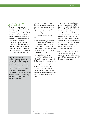#### Are there any other factors affecting eligibility?

• Trustees of unincorporated charities cannot be under the age of 18. It is possible for a director of a charitable company to be under 18, but the Companies Act 2006 introduces a minimum age of 16. This is due to come into force in October 2008. In some circumstances parents can be liable for the actions of their children and parents of under 18s considering becoming directors of charitable companies should be made aware of the duties and responsibilities.

#### Further information:

Further advice on the appointment of under 18s can be found on the Charity Commission website (Statement from the Commission regarding young people under 18 years old as charity trustees, linked from Charity Commission publication CC30). Remember that there are other ways of involving people in a charity besides becoming a trustee.

- The governing document of a charity may include restrictions on who may become a trustee of that charity, for example requiring them to live in a certain area or to be of a particular religious denomination.
- The Charity Commission states that

 *'Itisimportantthat anyone appointed as a trusteeismadefully aware of his or herresponsibilities and liabilities. Itis unfairto impose on someone a*  $r$ *ange* of *duties that that person cannot properly understand and cannot, or does notwantto,carry out.'* <sup>3</sup>

- The Criminal Justice and Court Services Act 2000 bans certain individuals from being a trustee of children's charities, e.g. anyone who commits one of a number of serious offences (generally against children) and who is subject to a disqualification order under the Act, made by the Court. Further information on this can be obtained from the Criminal Records Bureau (CRB).
- Some organisations working with children must check with CRB before employing individuals and this would include charity trustees. The Charity Commission also strongly recommends that trustees of charities working with children and vulnerable adults who are eligible to obtain disclosures from CRB should do. Further information on this can be found in the Charity Commission publication CC30 Finding New Trustees: What charities need to know
- All prospective charity trustees should sign a declaration of eligibility to act which should also cover CRB checks. See section 19.7 for a model declaration.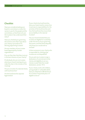### **Checklist**

Have you considered asking your board or committee to review the names it uses for the people and the committees, so that those who are the trustees in law understand their status?

Have you checked your governing document to see what it says about your charity's procedures for electing/appointing trustees?

Are any members of your trustee board appointed by outside organisations?

If so, are they clear that they must act in the best interests of your charity?

If individuals who are not trustees attend your board meetings do you make this clear in the minutes of the meeting?

Are you a trustee of a national charity with local branches?

Are the local branches separate legal entities?

If your charity has local branches, does your board need to review how it exercises its responsibilities for the activities of the local branches and how the local branches ensure their accountability to the national trustees?

Has your board checked that your trustees are eligible for trusteeship under the terms of your governing document, and that these disqualify only those you would wish to exclude?

Is there someone in your charity who is responsible for checking that trustees are not disqualified?

Do you ask new trustees to sign a declaration of commitment to the charity and eligibility to act as a charity trustee? (See the model declaration, section 19.7)

If your charity works with children, young people or vulnerable adults, have you obtained a CRB disclosure for trustees if required by law or if eligible to do so?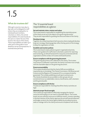### What do trustees do?

Although in practice many day-today tasks can be delegated to staff (where they are employed) or to individual board members, volunteers or others, the central responsibilities of trustee boards are the same no matter the size of the board or the nature of the charity. These responsibilities are taken up in other parts of the guide in more detail but can be summarised into 12 essential areas (see box).

### The 12 essential board responsibilities at a glance:

#### Set and maintain vision, mission and values

The trustee board is responsible for establishing the essential purpose of the charity as set out in the objects of its governing document. They are also responsible for guarding the ethos and values of the charity.

#### Develop strategy

Together, the trustee board (and chief executive where employed) develop long-term strategy. Meeting agendas reflect the key points of the strategy to keep the organisation on track.

#### Establish and monitor policies

The trustee board creates policies to govern organisational activity. These cover guidance for staff and/or volunteers, systems for reporting and monitoring, an ethical framework for everyone connected with the organisation and the conduct of trustees and board business.

#### Ensure compliance with the governing document

The governing document is the rulebook for the charity. The trustees must ensure it is followed. In particular, the charity's activities must comply with the charitable objects in the governing document.

#### Ensure accountability

The trustees should ensure that the charity fulfils accountability as required by law to (including): The Charity Commission, HM Revenue and Customs and the Registrar of Companies (if it is a company limited by guarantee). This includes publishing annual reports and accounts. The charity should also be accountable to other groups who are sometimes known as stakeholders: donors, beneficiaries, staff, volunteers and the general public.

#### Ensure compliance with the law

Trustees are responsible for checking that all the charity's activities are legal.

#### Maintain proper fiscal oversight

The trustees are responsible for effectively managing the charity's resources and funding so it can meet its charitable objects. The trustee board: secures sufficient resources to fulfill the mission, monitors spending in the best interests of the charity, approves the annual financial statement and budget, protects the charity against liability by providing insurance, seeks to manage risk for the charity and ensures compliance with the law.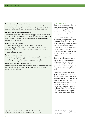#### Respect the role of staff / volunteers

The trustee board recognises and respects the domain of staff and / or volunteer responsibility. At the same time, it creates policy to guide staff and/or volunteer activities and safeguard the interests of the charity.

#### Maintain effective board performance

The board keeps its own house in order. It engages in productive meetings, effective committees with adequate resources, development activities and regular reviews of its role. The board is also responsible for overseeing trustee board recruitment.

#### Promote the organisation

Through their own behaviour, their governance oversight and their activities on behalf of the charity trustees enhance and protect the reputation of their charity. They are good ambassadors for the charity.

Where staff are employed:

#### Set up employment procedures

The trustee board creates comprehensive, fair and legal personnel policies. These protect the charity and those who work for it. They cover recruitment, support, appraisal, remuneration and discipline.

#### Select and support the chief executive

If necessary, the trustee board creates policy covering the employment of a chief executive. They also select and support the chief executive and review their performance.

#### What is governance?

Governance is about leadership and ensuring that an organisation is effectively and properly run. The twelve responsibilities above are based on principles of good governance.

Good governance is the board's responsibility, but governance covers more than the board's duties and responsibilities – governance takes in how the board is appointed and supported and how the board works to ensure decisions are taken properly and the work of the charity is effective and furthering its purposes.

Governance is distinct from day-today management and operations delegated to staff and volunteers. Sandy Adirondack wrote that 'governance is not necessarily about doing; it is about ensuring things are done'.<sup>4</sup>

Governance has been high on the agenda for charities in recent years. Since the publication of the previous edition of the Good Trustee Guide in 2002, two frameworks of good governance have been developed to help guide trustees and organisations. Both frameworks are used in the Good Trustee Guide to help trustees understand and carry out their roles and responsibilities:

**Tip:** turn to Part Four to find out how you can use the list of responsibilities above to carry out a governance review. <sup>4</sup> *TheGoodGovernanceAction Plan for VoluntaryOrganisations*, Sandy Adirondack (NCVO, 2002)